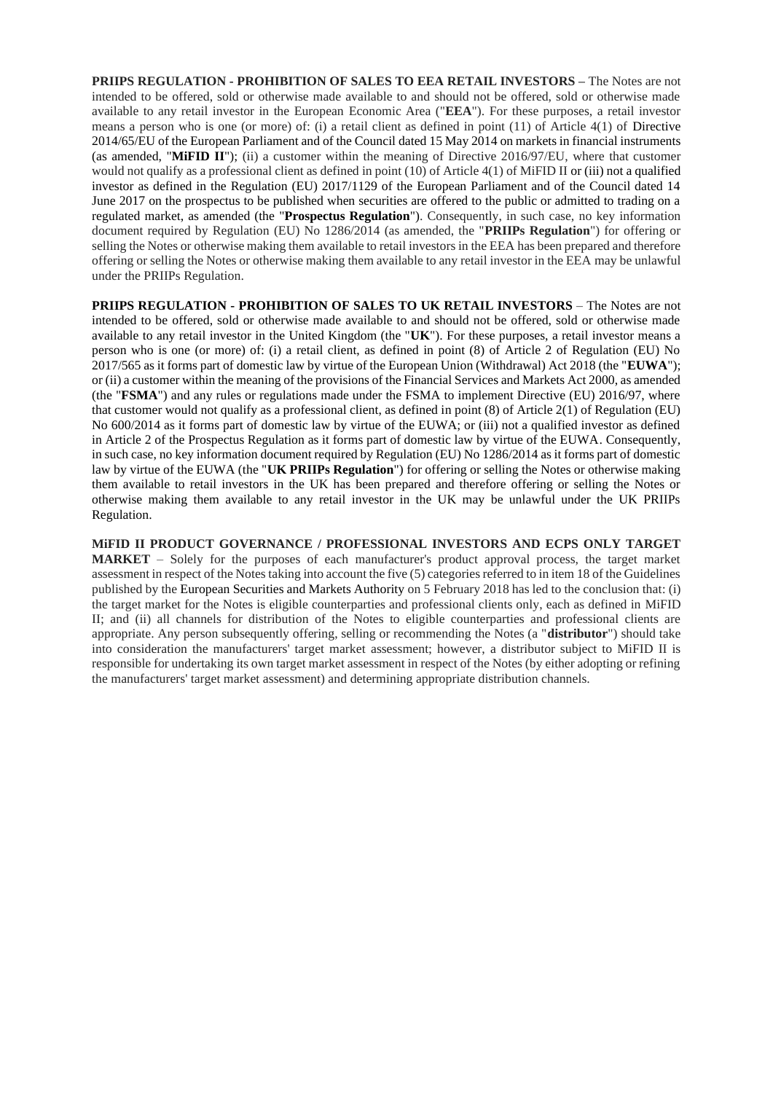**PRIIPS REGULATION - PROHIBITION OF SALES TO EEA RETAIL INVESTORS –** The Notes are not intended to be offered, sold or otherwise made available to and should not be offered, sold or otherwise made available to any retail investor in the European Economic Area ("**EEA**"). For these purposes, a retail investor means a person who is one (or more) of: (i) a retail client as defined in point (11) of Article 4(1) of Directive 2014/65/EU of the European Parliament and of the Council dated 15 May 2014 on markets in financial instruments (as amended, "**MiFID II**"); (ii) a customer within the meaning of Directive 2016/97/EU, where that customer would not qualify as a professional client as defined in point (10) of Article 4(1) of MiFID II or (iii) not a qualified investor as defined in the Regulation (EU) 2017/1129 of the European Parliament and of the Council dated 14 June 2017 on the prospectus to be published when securities are offered to the public or admitted to trading on a regulated market, as amended (the "**Prospectus Regulation**"). Consequently, in such case, no key information document required by Regulation (EU) No 1286/2014 (as amended, the "**PRIIPs Regulation**") for offering or selling the Notes or otherwise making them available to retail investors in the EEA has been prepared and therefore offering or selling the Notes or otherwise making them available to any retail investor in the EEA may be unlawful under the PRIIPs Regulation.

**PRIIPS REGULATION - PROHIBITION OF SALES TO UK RETAIL INVESTORS** – The Notes are not intended to be offered, sold or otherwise made available to and should not be offered, sold or otherwise made available to any retail investor in the United Kingdom (the "**UK**"). For these purposes, a retail investor means a person who is one (or more) of: (i) a retail client, as defined in point (8) of Article 2 of Regulation (EU) No 2017/565 as it forms part of domestic law by virtue of the European Union (Withdrawal) Act 2018 (the "**EUWA**"); or (ii) a customer within the meaning of the provisions of the Financial Services and Markets Act 2000, as amended (the "**FSMA**") and any rules or regulations made under the FSMA to implement Directive (EU) 2016/97, where that customer would not qualify as a professional client, as defined in point (8) of Article 2(1) of Regulation (EU) No 600/2014 as it forms part of domestic law by virtue of the EUWA; or (iii) not a qualified investor as defined in Article 2 of the Prospectus Regulation as it forms part of domestic law by virtue of the EUWA. Consequently, in such case, no key information document required by Regulation (EU) No 1286/2014 as it forms part of domestic law by virtue of the EUWA (the "**UK PRIIPs Regulation**") for offering or selling the Notes or otherwise making them available to retail investors in the UK has been prepared and therefore offering or selling the Notes or otherwise making them available to any retail investor in the UK may be unlawful under the UK PRIIPs Regulation.

**MiFID II PRODUCT GOVERNANCE / PROFESSIONAL INVESTORS AND ECPS ONLY TARGET MARKET** – Solely for the purposes of each manufacturer's product approval process, the target market assessment in respect of the Notes taking into account the five (5) categories referred to in item 18 of the Guidelines published by the European Securities and Markets Authority on 5 February 2018 has led to the conclusion that: (i) the target market for the Notes is eligible counterparties and professional clients only, each as defined in MiFID II; and (ii) all channels for distribution of the Notes to eligible counterparties and professional clients are appropriate. Any person subsequently offering, selling or recommending the Notes (a "**distributor**") should take into consideration the manufacturers' target market assessment; however, a distributor subject to MiFID II is responsible for undertaking its own target market assessment in respect of the Notes (by either adopting or refining the manufacturers' target market assessment) and determining appropriate distribution channels.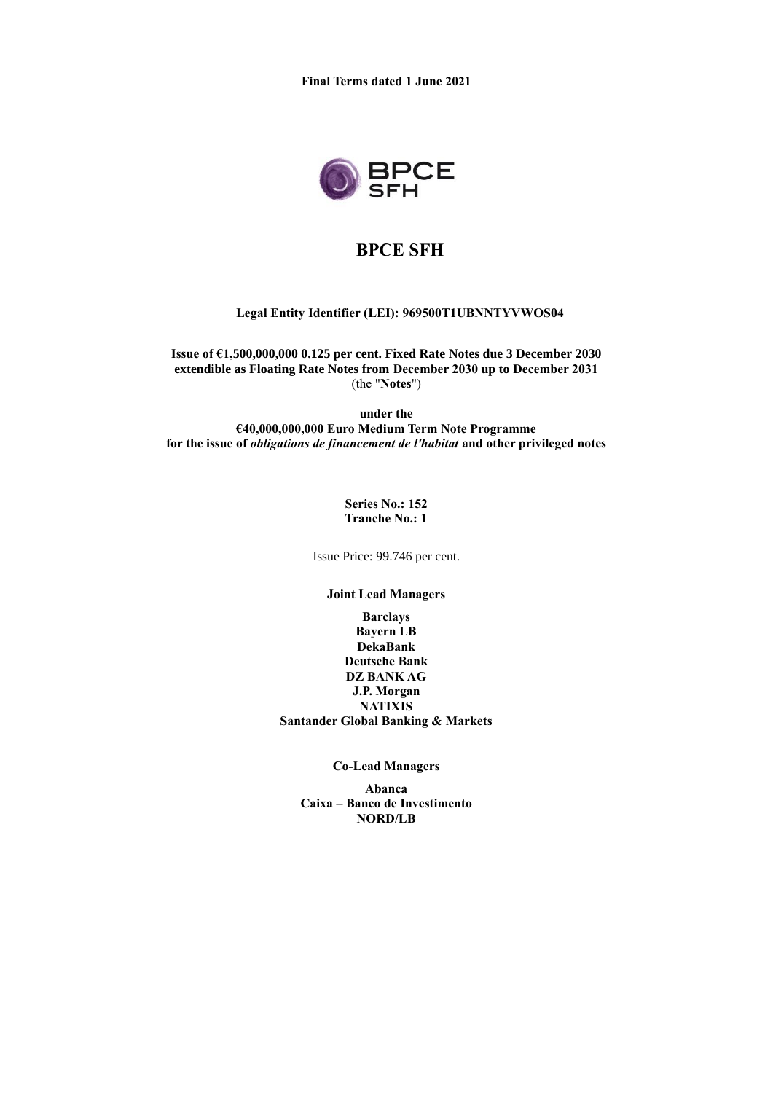

# **BPCE SFH**

## **Legal Entity Identifier (LEI): 969500T1UBNNTYVWOS04**

**Issue of €1,500,000,000 0.125 per cent. Fixed Rate Notes due 3 December 2030 extendible as Floating Rate Notes from December 2030 up to December 2031** (the "**Notes**")

**under the €40,000,000,000 Euro Medium Term Note Programme for the issue of** *obligations de financement de l'habitat* **and other privileged notes**

> **Series No.: 152 Tranche No.: 1**

Issue Price: 99.746 per cent.

**Joint Lead Managers**

**Barclays Bayern LB DekaBank Deutsche Bank DZ BANK AG J.P. Morgan NATIXIS Santander Global Banking & Markets**

**Co-Lead Managers**

**Abanca Caixa – Banco de Investimento NORD/LB**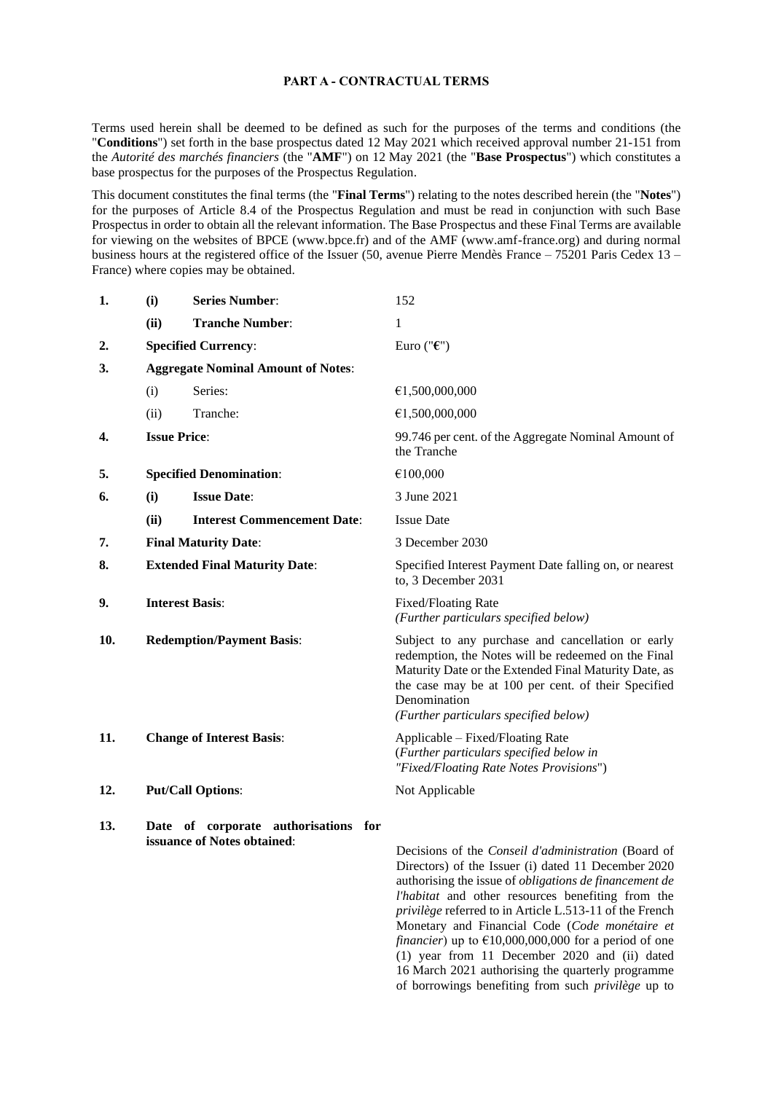## **PART A - CONTRACTUAL TERMS**

Terms used herein shall be deemed to be defined as such for the purposes of the terms and conditions (the "**Conditions**") set forth in the base prospectus dated 12 May 2021 which received approval number 21-151 from the *Autorité des marchés financiers* (the "**AMF**") on 12 May 2021 (the "**Base Prospectus**") which constitutes a base prospectus for the purposes of the Prospectus Regulation.

This document constitutes the final terms (the "**Final Terms**") relating to the notes described herein (the "**Notes**") for the purposes of Article 8.4 of the Prospectus Regulation and must be read in conjunction with such Base Prospectus in order to obtain all the relevant information. The Base Prospectus and these Final Terms are available for viewing on the websites of BPCE (www.bpce.fr) and of the AMF (www.amf-france.org) and during normal business hours at the registered office of the Issuer (50, avenue Pierre Mendès France – 75201 Paris Cedex 13 – France) where copies may be obtained.

| 1.  | (i)                                       | <b>Series Number:</b>                                               | 152                                                                                                                                                                                                                                                                               |
|-----|-------------------------------------------|---------------------------------------------------------------------|-----------------------------------------------------------------------------------------------------------------------------------------------------------------------------------------------------------------------------------------------------------------------------------|
|     | (ii)                                      | <b>Tranche Number:</b>                                              | 1                                                                                                                                                                                                                                                                                 |
| 2.  |                                           | <b>Specified Currency:</b>                                          | Euro (" $\epsilon$ ")                                                                                                                                                                                                                                                             |
| 3.  | <b>Aggregate Nominal Amount of Notes:</b> |                                                                     |                                                                                                                                                                                                                                                                                   |
|     | (i)                                       | Series:                                                             | €1,500,000,000                                                                                                                                                                                                                                                                    |
|     | (ii)                                      | Tranche:                                                            | €1,500,000,000                                                                                                                                                                                                                                                                    |
| 4.  |                                           | <b>Issue Price:</b>                                                 | 99.746 per cent. of the Aggregate Nominal Amount of<br>the Tranche                                                                                                                                                                                                                |
| 5.  |                                           | <b>Specified Denomination:</b>                                      | €100,000                                                                                                                                                                                                                                                                          |
| 6.  | (i)                                       | <b>Issue Date:</b>                                                  | 3 June 2021                                                                                                                                                                                                                                                                       |
|     | (ii)                                      | <b>Interest Commencement Date:</b>                                  | <b>Issue Date</b>                                                                                                                                                                                                                                                                 |
| 7.  |                                           | <b>Final Maturity Date:</b>                                         | 3 December 2030                                                                                                                                                                                                                                                                   |
| 8.  | <b>Extended Final Maturity Date:</b>      |                                                                     | Specified Interest Payment Date falling on, or nearest<br>to, 3 December 2031                                                                                                                                                                                                     |
| 9.  | <b>Interest Basis:</b>                    |                                                                     | Fixed/Floating Rate<br>(Further particulars specified below)                                                                                                                                                                                                                      |
| 10. | <b>Redemption/Payment Basis:</b>          |                                                                     | Subject to any purchase and cancellation or early<br>redemption, the Notes will be redeemed on the Final<br>Maturity Date or the Extended Final Maturity Date, as<br>the case may be at 100 per cent. of their Specified<br>Denomination<br>(Further particulars specified below) |
| 11. |                                           | <b>Change of Interest Basis:</b>                                    | Applicable – Fixed/Floating Rate<br>(Further particulars specified below in<br>"Fixed/Floating Rate Notes Provisions")                                                                                                                                                            |
| 12. |                                           | <b>Put/Call Options:</b>                                            | Not Applicable                                                                                                                                                                                                                                                                    |
| 13. |                                           | Date of corporate authorisations for<br>issuance of Notes obtained: | Decisions of the Conseil d'administration (Board of<br>Directors) of the Issuer (i) dated 11 December 2020<br>authorising the issue of <i>obligations de financement de</i><br>l'habitat and other resources benefiting from the                                                  |

*privilège* referred to in Article L.513-11 of the French Monetary and Financial Code (*Code monétaire et financier*) up to  $£10,000,000,000$  for a period of one (1) year from 11 December 2020 and (ii) dated 16 March 2021 authorising the quarterly programme of borrowings benefiting from such *privilège* up to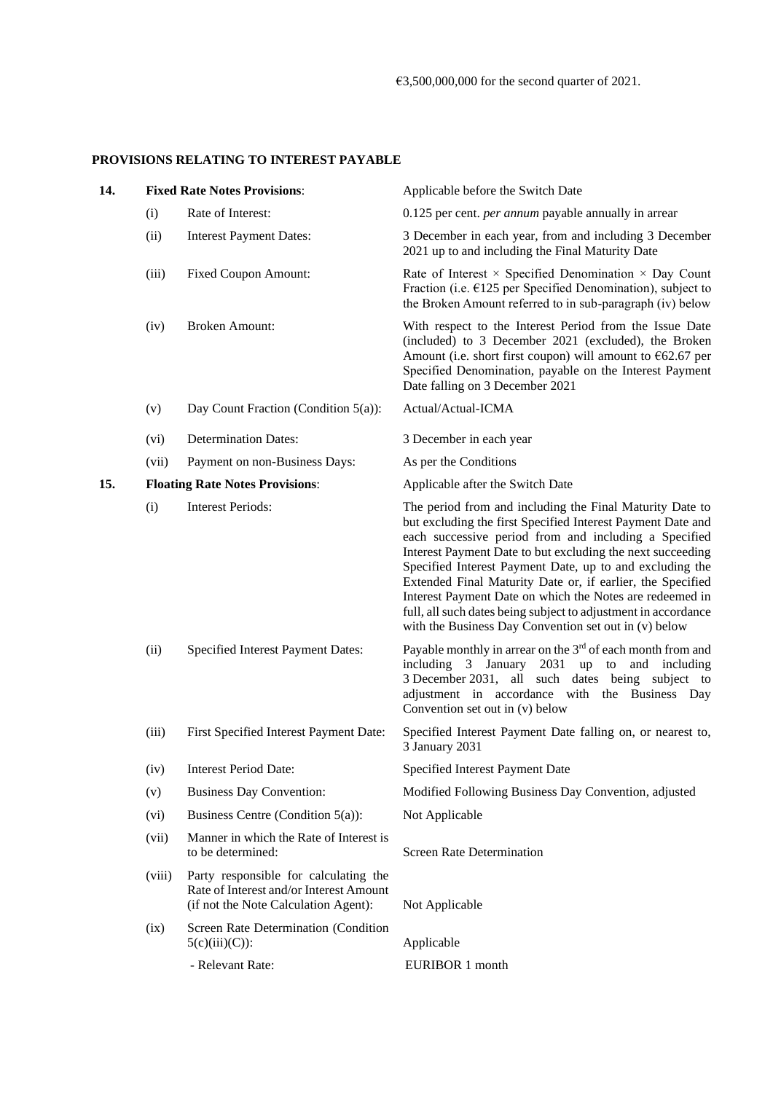## **PROVISIONS RELATING TO INTEREST PAYABLE**

| 14. |        | <b>Fixed Rate Notes Provisions:</b>                                                                                      | Applicable before the Switch Date                                                                                                                                                                                                                                                                                                                                                                                                                                                                                                                               |
|-----|--------|--------------------------------------------------------------------------------------------------------------------------|-----------------------------------------------------------------------------------------------------------------------------------------------------------------------------------------------------------------------------------------------------------------------------------------------------------------------------------------------------------------------------------------------------------------------------------------------------------------------------------------------------------------------------------------------------------------|
|     | (i)    | Rate of Interest:                                                                                                        | 0.125 per cent. <i>per annum</i> payable annually in arrear                                                                                                                                                                                                                                                                                                                                                                                                                                                                                                     |
|     |        |                                                                                                                          |                                                                                                                                                                                                                                                                                                                                                                                                                                                                                                                                                                 |
|     | (ii)   | <b>Interest Payment Dates:</b>                                                                                           | 3 December in each year, from and including 3 December<br>2021 up to and including the Final Maturity Date                                                                                                                                                                                                                                                                                                                                                                                                                                                      |
|     | (iii)  | <b>Fixed Coupon Amount:</b>                                                                                              | Rate of Interest $\times$ Specified Denomination $\times$ Day Count<br>Fraction (i.e. $E125$ per Specified Denomination), subject to<br>the Broken Amount referred to in sub-paragraph (iv) below                                                                                                                                                                                                                                                                                                                                                               |
|     | (iv)   | <b>Broken Amount:</b>                                                                                                    | With respect to the Interest Period from the Issue Date<br>(included) to 3 December 2021 (excluded), the Broken<br>Amount (i.e. short first coupon) will amount to $€62.67$ per<br>Specified Denomination, payable on the Interest Payment<br>Date falling on 3 December 2021                                                                                                                                                                                                                                                                                   |
|     | (v)    | Day Count Fraction (Condition $5(a)$ ):                                                                                  | Actual/Actual-ICMA                                                                                                                                                                                                                                                                                                                                                                                                                                                                                                                                              |
|     | (vi)   | <b>Determination Dates:</b>                                                                                              | 3 December in each year                                                                                                                                                                                                                                                                                                                                                                                                                                                                                                                                         |
|     | (vii)  | Payment on non-Business Days:                                                                                            | As per the Conditions                                                                                                                                                                                                                                                                                                                                                                                                                                                                                                                                           |
| 15. |        | <b>Floating Rate Notes Provisions:</b>                                                                                   | Applicable after the Switch Date                                                                                                                                                                                                                                                                                                                                                                                                                                                                                                                                |
|     | (i)    | <b>Interest Periods:</b>                                                                                                 | The period from and including the Final Maturity Date to<br>but excluding the first Specified Interest Payment Date and<br>each successive period from and including a Specified<br>Interest Payment Date to but excluding the next succeeding<br>Specified Interest Payment Date, up to and excluding the<br>Extended Final Maturity Date or, if earlier, the Specified<br>Interest Payment Date on which the Notes are redeemed in<br>full, all such dates being subject to adjustment in accordance<br>with the Business Day Convention set out in (v) below |
|     | (ii)   | Specified Interest Payment Dates:                                                                                        | Payable monthly in arrear on the 3 <sup>rd</sup> of each month from and<br>including 3 January 2031 up to and including<br>3 December 2031, all such dates being subject to<br>adjustment in accordance with the Business Day<br>Convention set out in (v) below                                                                                                                                                                                                                                                                                                |
|     | (iii)  | First Specified Interest Payment Date:                                                                                   | Specified Interest Payment Date falling on, or nearest to,<br>3 January 2031                                                                                                                                                                                                                                                                                                                                                                                                                                                                                    |
|     | (iv)   | <b>Interest Period Date:</b>                                                                                             | Specified Interest Payment Date                                                                                                                                                                                                                                                                                                                                                                                                                                                                                                                                 |
|     | (v)    | <b>Business Day Convention:</b>                                                                                          | Modified Following Business Day Convention, adjusted                                                                                                                                                                                                                                                                                                                                                                                                                                                                                                            |
|     | (vi)   | Business Centre (Condition 5(a)):                                                                                        | Not Applicable                                                                                                                                                                                                                                                                                                                                                                                                                                                                                                                                                  |
|     | (vii)  | Manner in which the Rate of Interest is<br>to be determined:                                                             | <b>Screen Rate Determination</b>                                                                                                                                                                                                                                                                                                                                                                                                                                                                                                                                |
|     | (viii) | Party responsible for calculating the<br>Rate of Interest and/or Interest Amount<br>(if not the Note Calculation Agent): | Not Applicable                                                                                                                                                                                                                                                                                                                                                                                                                                                                                                                                                  |
|     | (ix)   | Screen Rate Determination (Condition<br>$5(c)(iii)(C))$ :                                                                | Applicable                                                                                                                                                                                                                                                                                                                                                                                                                                                                                                                                                      |
|     |        | - Relevant Rate:                                                                                                         | EURIBOR 1 month                                                                                                                                                                                                                                                                                                                                                                                                                                                                                                                                                 |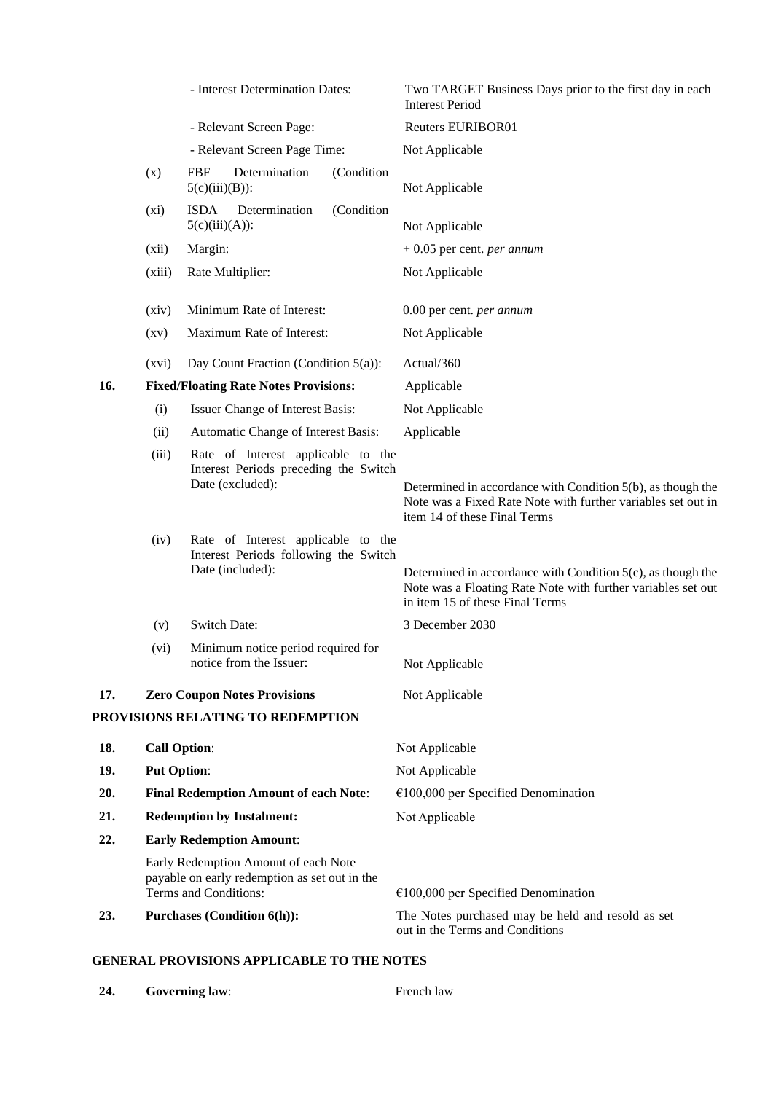|     |                                              | - Interest Determination Dates:                                                                                | Two TARGET Business Days prior to the first day in each<br><b>Interest Period</b>                                                                              |
|-----|----------------------------------------------|----------------------------------------------------------------------------------------------------------------|----------------------------------------------------------------------------------------------------------------------------------------------------------------|
|     |                                              | - Relevant Screen Page:                                                                                        | Reuters EURIBOR01                                                                                                                                              |
|     |                                              | - Relevant Screen Page Time:                                                                                   | Not Applicable                                                                                                                                                 |
|     | (x)                                          | <b>FBF</b><br>Determination<br>(Condition<br>$5(c)(iii)(B))$ :                                                 | Not Applicable                                                                                                                                                 |
|     | (xi)                                         | <b>ISDA</b><br>Determination<br>(Condition<br>$5(c)(iii)(A))$ :                                                | Not Applicable                                                                                                                                                 |
|     | (xii)                                        | Margin:                                                                                                        | $+0.05$ per cent. <i>per annum</i>                                                                                                                             |
|     | (xiii)                                       | Rate Multiplier:                                                                                               | Not Applicable                                                                                                                                                 |
|     | (xiv)                                        | Minimum Rate of Interest:                                                                                      | 0.00 per cent. per annum                                                                                                                                       |
|     | $\left( xy\right)$                           | Maximum Rate of Interest:                                                                                      | Not Applicable                                                                                                                                                 |
|     | (xvi)                                        | Day Count Fraction (Condition $5(a)$ ):                                                                        | Actual/360                                                                                                                                                     |
| 16. | <b>Fixed/Floating Rate Notes Provisions:</b> |                                                                                                                | Applicable                                                                                                                                                     |
|     | (i)                                          | Issuer Change of Interest Basis:                                                                               | Not Applicable                                                                                                                                                 |
|     | (ii)                                         | Automatic Change of Interest Basis:                                                                            | Applicable                                                                                                                                                     |
|     | (iii)                                        | Rate of Interest applicable to the<br>Interest Periods preceding the Switch<br>Date (excluded):                | Determined in accordance with Condition $5(b)$ , as though the<br>Note was a Fixed Rate Note with further variables set out in<br>item 14 of these Final Terms |
|     | (iv)                                         | Rate of Interest applicable to the<br>Interest Periods following the Switch<br>Date (included):                | Determined in accordance with Condition 5(c), as though the<br>Note was a Floating Rate Note with further variables set out<br>in item 15 of these Final Terms |
|     | (v)                                          | <b>Switch Date:</b>                                                                                            | 3 December 2030                                                                                                                                                |
|     | (vi)                                         | Minimum notice period required for<br>notice from the Issuer:                                                  | Not Applicable                                                                                                                                                 |
| 17. |                                              | <b>Zero Coupon Notes Provisions</b>                                                                            | Not Applicable                                                                                                                                                 |
|     |                                              | PROVISIONS RELATING TO REDEMPTION                                                                              |                                                                                                                                                                |
| 18. | <b>Call Option:</b>                          |                                                                                                                | Not Applicable                                                                                                                                                 |
| 19. | <b>Put Option:</b>                           |                                                                                                                | Not Applicable                                                                                                                                                 |
| 20. |                                              | <b>Final Redemption Amount of each Note:</b>                                                                   | $€100,000$ per Specified Denomination                                                                                                                          |
| 21. | <b>Redemption by Instalment:</b>             |                                                                                                                | Not Applicable                                                                                                                                                 |
| 22. | <b>Early Redemption Amount:</b>              |                                                                                                                |                                                                                                                                                                |
|     |                                              | Early Redemption Amount of each Note<br>payable on early redemption as set out in the<br>Terms and Conditions: | $€100,000$ per Specified Denomination                                                                                                                          |
| 23. |                                              | <b>Purchases (Condition 6(h)):</b>                                                                             | The Notes purchased may be held and resold as set<br>out in the Terms and Conditions                                                                           |

# **GENERAL PROVISIONS APPLICABLE TO THE NOTES**

**24. Governing law**: French law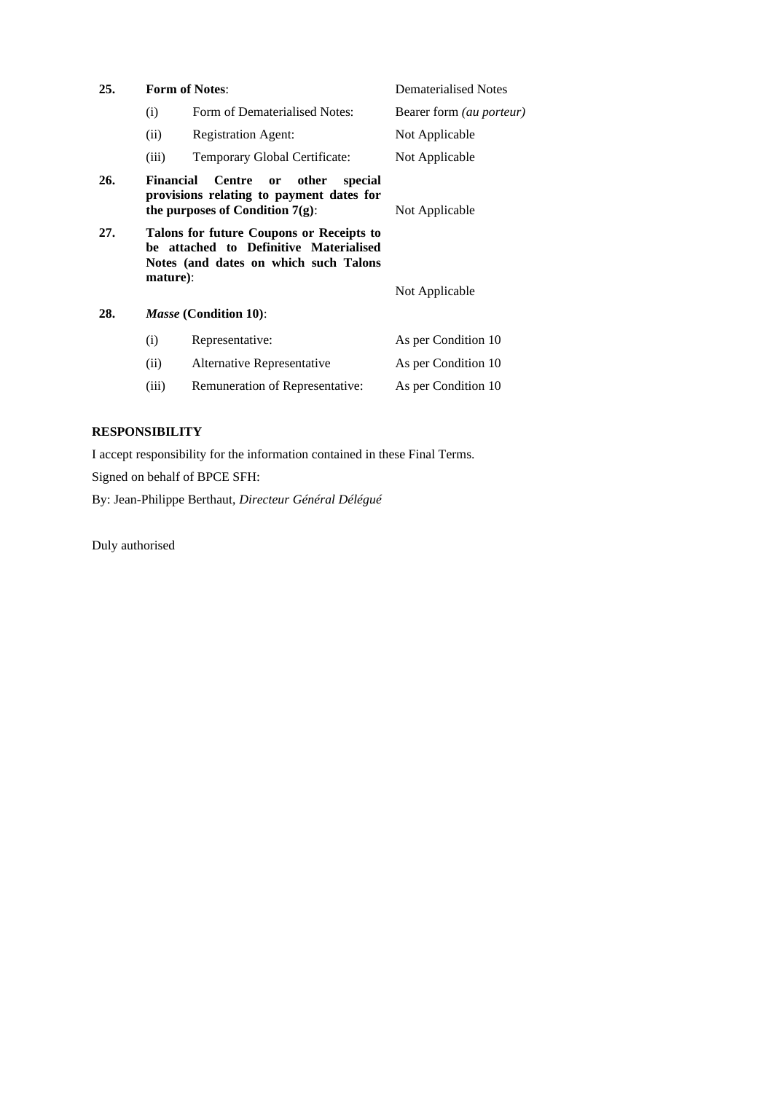| 25. |           | <b>Form of Notes:</b>                                                                                                         | <b>Dematerialised Notes</b>     |
|-----|-----------|-------------------------------------------------------------------------------------------------------------------------------|---------------------------------|
|     | (i)       | Form of Dematerialised Notes:                                                                                                 | Bearer form <i>(au porteur)</i> |
|     | (ii)      | <b>Registration Agent:</b>                                                                                                    | Not Applicable                  |
|     | (iii)     | Temporary Global Certificate:                                                                                                 | Not Applicable                  |
| 26. | Financial | Centre<br>other<br>$\mathbf{or}$<br>special<br>provisions relating to payment dates for<br>the purposes of Condition $7(g)$ : | Not Applicable                  |
| 27. | mature):  | Talons for future Coupons or Receipts to<br>be attached to Definitive Materialised<br>Notes (and dates on which such Talons   | Not Applicable                  |
| 28. |           | <i>Masse</i> (Condition 10):                                                                                                  |                                 |
|     | (i)       | Representative:                                                                                                               | As per Condition 10             |
|     | (ii)      | Alternative Representative                                                                                                    | As per Condition 10             |
|     | (iii)     | Remuneration of Representative:                                                                                               | As per Condition 10             |

## **RESPONSIBILITY**

I accept responsibility for the information contained in these Final Terms.

Signed on behalf of BPCE SFH:

By: Jean-Philippe Berthaut, *Directeur Général Délégué*

Duly authorised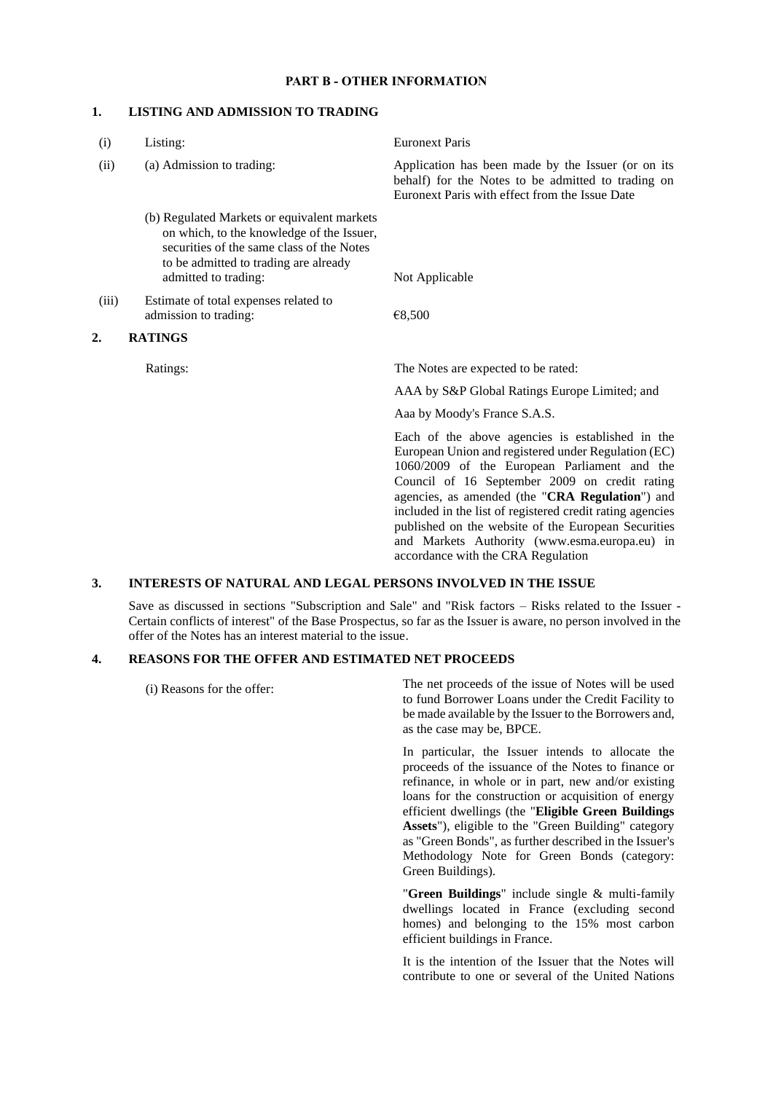## **PART B - OTHER INFORMATION**

#### **1. LISTING AND ADMISSION TO TRADING**

| (i)   | Listing:                                                                                                                                                                                               | <b>Euronext Paris</b>                                                                                                                                                                                                                                                                                                                                                                                                                                                  |
|-------|--------------------------------------------------------------------------------------------------------------------------------------------------------------------------------------------------------|------------------------------------------------------------------------------------------------------------------------------------------------------------------------------------------------------------------------------------------------------------------------------------------------------------------------------------------------------------------------------------------------------------------------------------------------------------------------|
| (ii)  | (a) Admission to trading:                                                                                                                                                                              | Application has been made by the Issuer (or on its<br>behalf) for the Notes to be admitted to trading on<br>Euronext Paris with effect from the Issue Date                                                                                                                                                                                                                                                                                                             |
|       | (b) Regulated Markets or equivalent markets<br>on which, to the knowledge of the Issuer,<br>securities of the same class of the Notes<br>to be admitted to trading are already<br>admitted to trading: | Not Applicable                                                                                                                                                                                                                                                                                                                                                                                                                                                         |
|       |                                                                                                                                                                                                        |                                                                                                                                                                                                                                                                                                                                                                                                                                                                        |
| (iii) | Estimate of total expenses related to<br>admission to trading:                                                                                                                                         | €8,500                                                                                                                                                                                                                                                                                                                                                                                                                                                                 |
| 2.    | <b>RATINGS</b>                                                                                                                                                                                         |                                                                                                                                                                                                                                                                                                                                                                                                                                                                        |
|       | Ratings:                                                                                                                                                                                               | The Notes are expected to be rated:                                                                                                                                                                                                                                                                                                                                                                                                                                    |
|       |                                                                                                                                                                                                        | AAA by S&P Global Ratings Europe Limited; and                                                                                                                                                                                                                                                                                                                                                                                                                          |
|       |                                                                                                                                                                                                        | Aaa by Moody's France S.A.S.                                                                                                                                                                                                                                                                                                                                                                                                                                           |
|       |                                                                                                                                                                                                        | Each of the above agencies is established in the<br>European Union and registered under Regulation (EC)<br>1060/2009 of the European Parliament and the<br>Council of 16 September 2009 on credit rating<br>agencies, as amended (the "CRA Regulation") and<br>included in the list of registered credit rating agencies<br>published on the website of the European Securities<br>and Markets Authority (www.esma.europa.eu) in<br>accordance with the CRA Regulation |

#### **3. INTERESTS OF NATURAL AND LEGAL PERSONS INVOLVED IN THE ISSUE**

Save as discussed in sections "Subscription and Sale" and "Risk factors – Risks related to the Issuer - Certain conflicts of interest" of the Base Prospectus, so far as the Issuer is aware, no person involved in the offer of the Notes has an interest material to the issue.

## **4. REASONS FOR THE OFFER AND ESTIMATED NET PROCEEDS**

(i) Reasons for the offer:

The net proceeds of the issue of Notes will be used to fund Borrower Loans under the Credit Facility to be made available by the Issuer to the Borrowers and, as the case may be, BPCE.

In particular, the Issuer intends to allocate the proceeds of the issuance of the Notes to finance or refinance, in whole or in part, new and/or existing loans for the construction or acquisition of energy efficient dwellings (the "**Eligible Green Buildings Assets**"), eligible to the "Green Building" category as "Green Bonds", as further described in the Issuer's Methodology Note for Green Bonds (category: Green Buildings).

"**Green Buildings**" include single & multi-family dwellings located in France (excluding second homes) and belonging to the 15% most carbon efficient buildings in France.

It is the intention of the Issuer that the Notes will contribute to one or several of the United Nations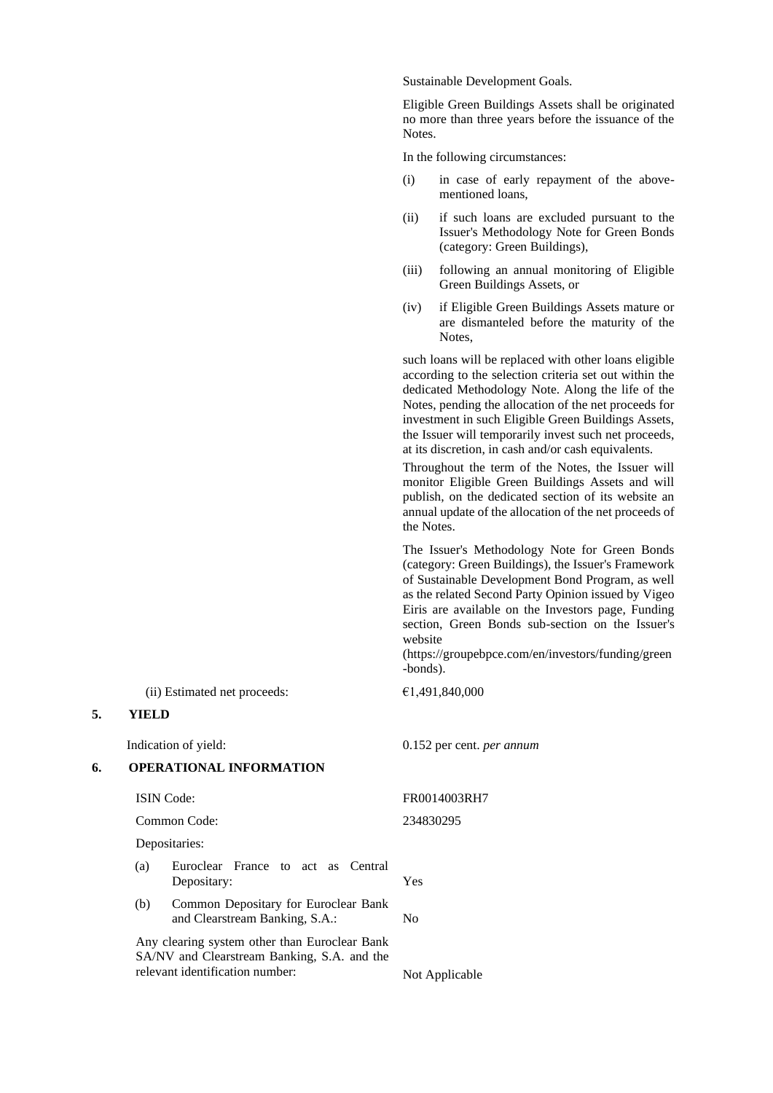Sustainable Development Goals.

Eligible Green Buildings Assets shall be originated no more than three years before the issuance of the Notes.

In the following circumstances:

- (i) in case of early repayment of the abovementioned loans,
- (ii) if such loans are excluded pursuant to the Issuer's Methodology Note for Green Bonds (category: Green Buildings),
- (iii) following an annual monitoring of Eligible Green Buildings Assets, or
- (iv) if Eligible Green Buildings Assets mature or are dismanteled before the maturity of the Notes,

such loans will be replaced with other loans eligible according to the selection criteria set out within the dedicated Methodology Note. Along the life of the Notes, pending the allocation of the net proceeds for investment in such Eligible Green Buildings Assets, the Issuer will temporarily invest such net proceeds, at its discretion, in cash and/or cash equivalents.

Throughout the term of the Notes, the Issuer will monitor Eligible Green Buildings Assets and will publish, on the dedicated section of its website an annual update of the allocation of the net proceeds of the Notes.

The Issuer's Methodology Note for Green Bonds (category: Green Buildings), the Issuer's Framework of Sustainable Development Bond Program, as well as the related Second Party Opinion issued by Vigeo Eiris are available on the Investors page, Funding section, Green Bonds sub-section on the Issuer's website

(https://groupebpce.com/en/investors/funding/green -bonds).

(ii) Estimated net proceeds:  $\epsilon$ 1,491,840,000

#### **5. YIELD**

#### **6. OPERATIONAL INFORMATION**

Common Code: 234830295

Depositaries:

- (a) Euroclear France to act as Central Depositary: Yes
- (b) Common Depositary for Euroclear Bank and Clearstream Banking, S.A.: No

Any clearing system other than Euroclear Bank SA/NV and Clearstream Banking, S.A. and the relevant identification number: Not Applicable

Indication of yield: 0.152 per cent. *per annum*

ISIN Code: FR0014003RH7